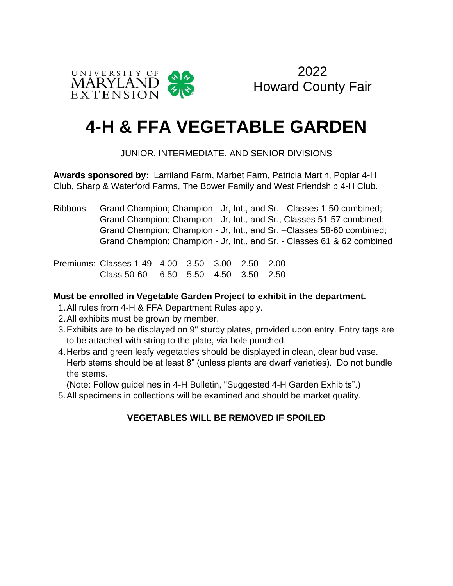

2022 Howard County Fair

# **4-H & FFA VEGETABLE GARDEN**

### JUNIOR, INTERMEDIATE, AND SENIOR DIVISIONS

**Awards sponsored by:** Larriland Farm, Marbet Farm, Patricia Martin, Poplar 4-H Club, Sharp & Waterford Farms, The Bower Family and West Friendship 4-H Club.

Ribbons: Grand Champion; Champion - Jr, Int., and Sr. - Classes 1-50 combined; Grand Champion; Champion - Jr, Int., and Sr., Classes 51-57 combined; Grand Champion; Champion - Jr, Int., and Sr. –Classes 58-60 combined; Grand Champion; Champion - Jr, Int., and Sr. - Classes 61 & 62 combined

Premiums: Classes 1-49 4.00 3.50 3.00 2.50 2.00 Class 50-60 6.50 5.50 4.50 3.50 2.50

#### **Must be enrolled in Vegetable Garden Project to exhibit in the department.**

- 1.All rules from 4-H & FFA Department Rules apply.
- 2.All exhibits must be grown by member.
- 3.Exhibits are to be displayed on 9" sturdy plates, provided upon entry. Entry tags are to be attached with string to the plate, via hole punched.
- 4.Herbs and green leafy vegetables should be displayed in clean, clear bud vase. Herb stems should be at least 8" (unless plants are dwarf varieties). Do not bundle the stems.

(Note: Follow guidelines in 4-H Bulletin, "Suggested 4-H Garden Exhibits".)

5.All specimens in collections will be examined and should be market quality.

### **VEGETABLES WILL BE REMOVED IF SPOILED**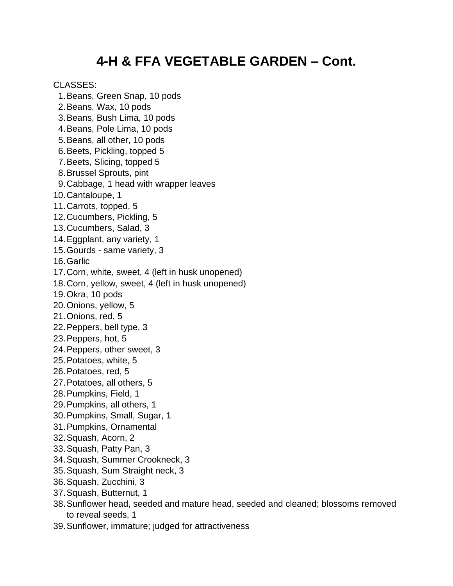# **4-H & FFA VEGETABLE GARDEN – Cont.**

#### CLASSES:

 1.Beans, Green Snap, 10 pods 2.Beans, Wax, 10 pods 3.Beans, Bush Lima, 10 pods 4.Beans, Pole Lima, 10 pods 5.Beans, all other, 10 pods 6.Beets, Pickling, topped 5 7.Beets, Slicing, topped 5 8.Brussel Sprouts, pint 9.Cabbage, 1 head with wrapper leaves 10.Cantaloupe, 1 11.Carrots, topped, 5 12.Cucumbers, Pickling, 5 13.Cucumbers, Salad, 3 14.Eggplant, any variety, 1 15.Gourds - same variety, 3 16.Garlic 17.Corn, white, sweet, 4 (left in husk unopened) 18.Corn, yellow, sweet, 4 (left in husk unopened) 19.Okra, 10 pods 20.Onions, yellow, 5 21.Onions, red, 5 22.Peppers, bell type, 3 23.Peppers, hot, 5 24.Peppers, other sweet, 3 25.Potatoes, white, 5 26.Potatoes, red, 5 27.Potatoes, all others, 5 28.Pumpkins, Field, 1 29.Pumpkins, all others, 1 30.Pumpkins, Small, Sugar, 1

- 31.Pumpkins, Ornamental
- 32.Squash, Acorn, 2
- 33.Squash, Patty Pan, 3
- 34.Squash, Summer Crookneck, 3
- 35.Squash, Sum Straight neck, 3
- 36.Squash, Zucchini, 3
- 37.Squash, Butternut, 1
- 38.Sunflower head, seeded and mature head, seeded and cleaned; blossoms removed to reveal seeds, 1
- 39.Sunflower, immature; judged for attractiveness